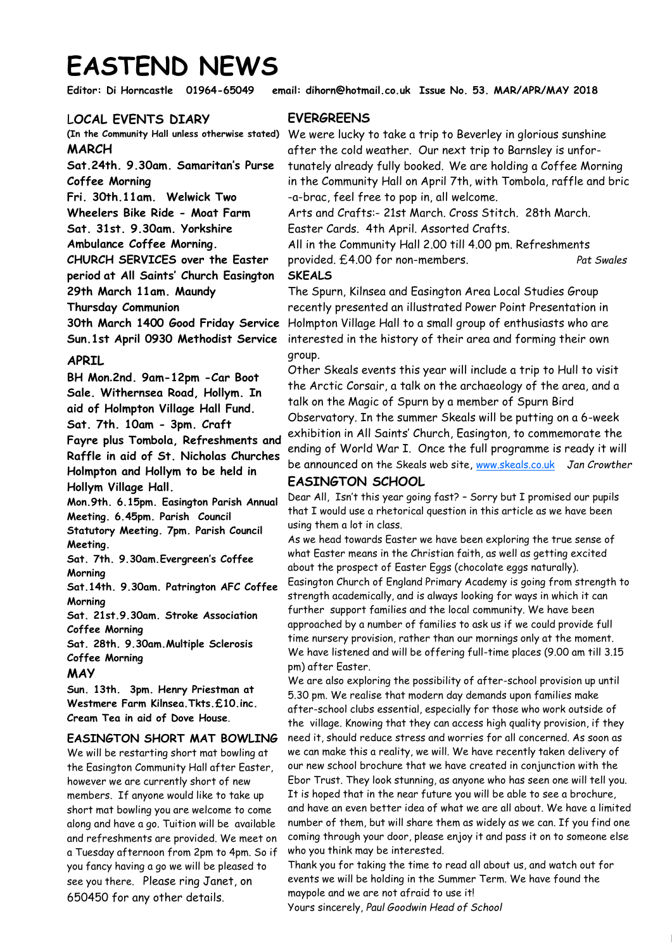# **EASTEND NEWS**

**Editor: Di Horncastle 01964-65049 email: dihorn@hotmail.co.uk Issue No. 53. MAR/APR/MAY 2018** 

## L**OCAL EVENTS DIARY**

**MARCH** 

**Sat.24th. 9.30am. Samaritan's Purse Coffee Morning Fri. 30th.11am. Welwick Two Wheelers Bike Ride - Moat Farm Sat. 31st. 9.30am. Yorkshire Ambulance Coffee Morning. CHURCH SERVICES over the Easter period at All Saints' Church Easington 29th March 11am. Maundy Thursday Communion 30th March 1400 Good Friday Service Sun.1st April 0930 Methodist Service** 

## **APRIL**

**BH Mon.2nd. 9am-12pm -Car Boot Sale. Withernsea Road, Hollym. In aid of Holmpton Village Hall Fund. Sat. 7th. 10am - 3pm. Craft Fayre plus Tombola, Refreshments and Raffle in aid of St. Nicholas Churches Holmpton and Hollym to be held in Hollym Village Hall.** 

**Mon.9th. 6.15pm. Easington Parish Annual Meeting. 6.45pm. Parish Council Statutory Meeting. 7pm. Parish Council Meeting.** 

**Sat. 7th. 9.30am.Evergreen's Coffee Morning** 

**Sat.14th. 9.30am. Patrington AFC Coffee Morning** 

**Sat. 21st.9.30am. Stroke Association Coffee Morning** 

**Sat. 28th. 9.30am.Multiple Sclerosis Coffee Morning** 

#### **MAY**

**Sun. 13th. 3pm. Henry Priestman at Westmere Farm Kilnsea.Tkts.£10.inc. Cream Tea in aid of Dove House**.

#### **EASINGTON SHORT MAT BOWLING**

We will be restarting short mat bowling at the Easington Community Hall after Easter, however we are currently short of new members. If anyone would like to take up short mat bowling you are welcome to come along and have a go. Tuition will be available and refreshments are provided. We meet on a Tuesday afternoon from 2pm to 4pm. So if you fancy having a go we will be pleased to see you there. Please ring Janet, on 650450 for any other details.

## **EVERGREENS**

(In the Community Hall unless otherwise stated) We were lucky to take a trip to Beverley in glorious sunshine after the cold weather. Our next trip to Barnsley is unfortunately already fully booked. We are holding a Coffee Morning in the Community Hall on April 7th, with Tombola, raffle and bric -a-brac, feel free to pop in, all welcome.

> Arts and Crafts:- 21st March. Cross Stitch. 28th March. Easter Cards. 4th April. Assorted Crafts.

All in the Community Hall 2.00 till 4.00 pm. Refreshments provided. £4.00 for non-members.*Pat Swales*

## **SKEALS**

The Spurn, Kilnsea and Easington Area Local Studies Group recently presented an illustrated Power Point Presentation in Holmpton Village Hall to a small group of enthusiasts who are interested in the history of their area and forming their own group.

Other Skeals events this year will include a trip to Hull to visit the Arctic Corsair, a talk on the archaeology of the area, and a talk on the Magic of Spurn by a member of Spurn Bird Observatory. In the summer Skeals will be putting on a 6-week exhibition in All Saints' Church, Easington, to commemorate the ending of World War I. Once the full programme is ready it will be announced on the Skeals web site, [www.skeals.co.uk](http://www.skeals.co.uk) *Jan Crowther* **EASINGTON SCHOOL** 

Dear All, Isn't this year going fast? – Sorry but I promised our pupils that I would use a rhetorical question in this article as we have been using them a lot in class.

As we head towards Easter we have been exploring the true sense of what Easter means in the Christian faith, as well as getting excited about the prospect of Easter Eggs (chocolate eggs naturally). Easington Church of England Primary Academy is going from strength to strength academically, and is always looking for ways in which it can further support families and the local community. We have been approached by a number of families to ask us if we could provide full time nursery provision, rather than our mornings only at the moment. We have listened and will be offering full-time places (9.00 am till 3.15 pm) after Easter.

We are also exploring the possibility of after-school provision up until 5.30 pm. We realise that modern day demands upon families make after-school clubs essential, especially for those who work outside of the village. Knowing that they can access high quality provision, if they need it, should reduce stress and worries for all concerned. As soon as we can make this a reality, we will. We have recently taken delivery of our new school brochure that we have created in conjunction with the Ebor Trust. They look stunning, as anyone who has seen one will tell you. It is hoped that in the near future you will be able to see a brochure, and have an even better idea of what we are all about. We have a limited number of them, but will share them as widely as we can. If you find one coming through your door, please enjoy it and pass it on to someone else who you think may be interested.

Thank you for taking the time to read all about us, and watch out for events we will be holding in the Summer Term. We have found the maypole and we are not afraid to use it! Yours sincerely, *Paul Goodwin Head of School*